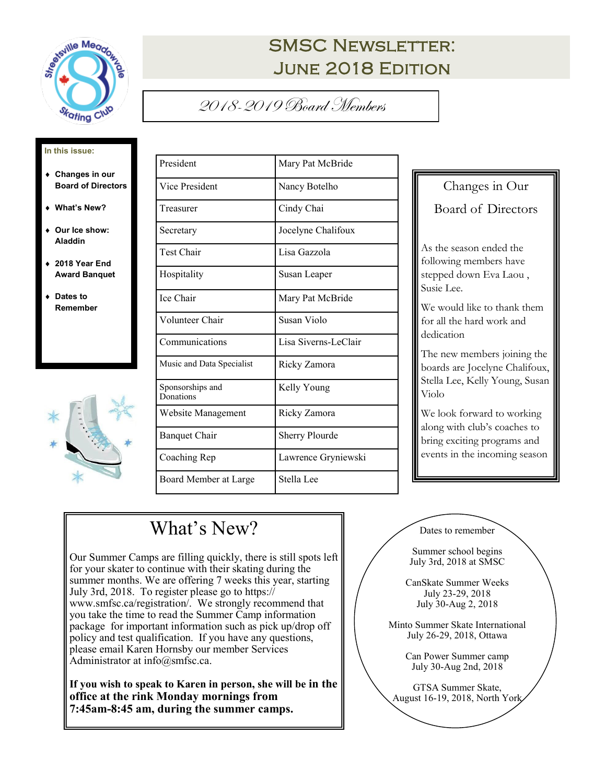

# **SMSC NEWSLETTER:** June 2018 Edition

### 2018-2019 Board Members

#### **In this issue:**

- **Changes in our Board of Directors**
- **What's New?**
- **Our Ice show: Aladdin**
- **2018 Year End Award Banquet**
- **Dates to Remember**



| President                     | Mary Pat McBride      |
|-------------------------------|-----------------------|
| Vice President                | Nancy Botelho         |
| Treasurer                     | Cindy Chai            |
| Secretary                     | Jocelyne Chalifoux    |
| Test Chair                    | Lisa Gazzola          |
| Hospitality                   | Susan Leaper          |
| Ice Chair                     | Mary Pat McBride      |
| Volunteer Chair               | Susan Violo           |
| Communications                | Lisa Siverns-LeClair  |
| Music and Data Specialist     | Ricky Zamora          |
| Sponsorships and<br>Donations | Kelly Young           |
| Website Management            | Ricky Zamora          |
| <b>Banquet Chair</b>          | <b>Sherry Plourde</b> |
| Coaching Rep                  | Lawrence Gryniewski   |
| Board Member at Large         | Stella Lee            |

Changes in Our Board of Directors As the season ended the following members have stepped down Eva Laou , Susie Lee. We would like to thank them for all the hard work and dedication The new members joining the boards are Jocelyne Chalifoux, Stella Lee, Kelly Young, Susan

Violo We look forward to working along with club's coaches to bring exciting programs and events in the incoming season

# What's New?

Our Summer Camps are filling quickly, there is still spots left for your skater to continue with their skating during the summer months. We are offering 7 weeks this year, starting July 3rd, 2018. To register please go to https:// www.smfsc.ca/registration/. We strongly recommend that you take the time to read the Summer Camp information package for important information such as pick up/drop off policy and test qualification. If you have any questions, please email Karen Hornsby our member Services Administrator at info@smfsc.ca.

**If you wish to speak to Karen in person, she will be in the office at the rink Monday mornings from 7:45am-8:45 am, during the summer camps.**

Dates to remember

Summer school begins July 3rd, 2018 at SMSC

CanSkate Summer Weeks July 23-29, 2018 July 30-Aug 2, 2018

Minto Summer Skate International July 26-29, 2018, Ottawa

> Can Power Summer camp July 30-Aug 2nd, 2018

GTSA Summer Skate, August 16-19, 2018, North York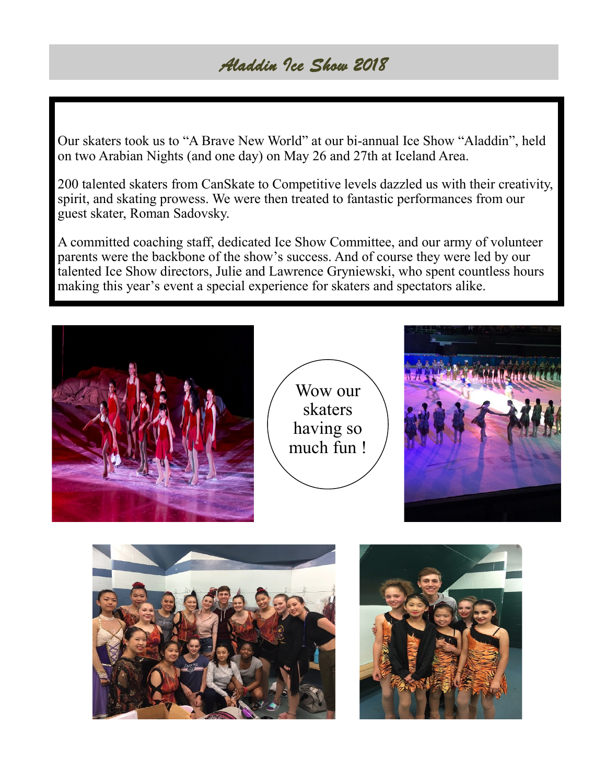### *Aladdin Ice Show 2018*

Our skaters took us to "A Brave New World" at our bi-annual Ice Show "Aladdin", held on two Arabian Nights (and one day) on May 26 and 27th at Iceland Area.

200 talented skaters from CanSkate to Competitive levels dazzled us with their creativity, spirit, and skating prowess. We were then treated to fantastic performances from our guest skater, Roman Sadovsky.

A committed coaching staff, dedicated Ice Show Committee, and our army of volunteer parents were the backbone of the show's success. And of course they were led by our talented Ice Show directors, Julie and Lawrence Gryniewski, who spent countless hours making this year's event a special experience for skaters and spectators alike.



Wow our skaters having so much fun !